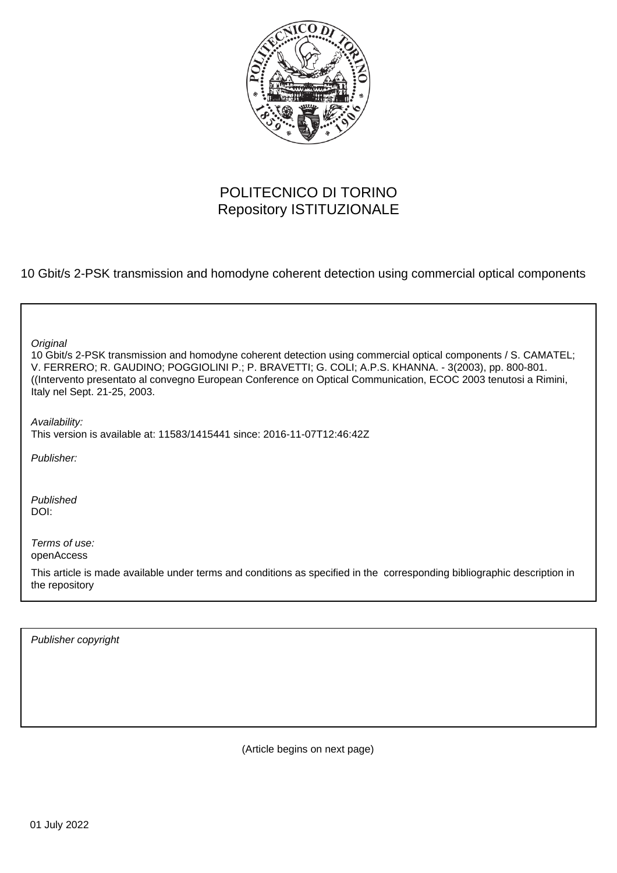

# POLITECNICO DI TORINO Repository ISTITUZIONALE

10 Gbit/s 2-PSK transmission and homodyne coherent detection using commercial optical components

| Original<br>10 Gbit/s 2-PSK transmission and homodyne coherent detection using commercial optical components / S. CAMATEL;<br>V. FERRERO; R. GAUDINO; POGGIOLINI P.; P. BRAVETTI; G. COLI; A.P.S. KHANNA. - 3(2003), pp. 800-801.<br>((Intervento presentato al convegno European Conference on Optical Communication, ECOC 2003 tenutosi a Rimini,<br>Italy nel Sept. 21-25, 2003. |
|-------------------------------------------------------------------------------------------------------------------------------------------------------------------------------------------------------------------------------------------------------------------------------------------------------------------------------------------------------------------------------------|
| Availability:<br>This version is available at: 11583/1415441 since: 2016-11-07T12:46:42Z                                                                                                                                                                                                                                                                                            |
| Publisher:                                                                                                                                                                                                                                                                                                                                                                          |
| Published<br>DOI:                                                                                                                                                                                                                                                                                                                                                                   |
| Terms of use:<br>openAccess<br>This article is made available under terms and conditions as specified in the corresponding bibliographic description in<br>the repository                                                                                                                                                                                                           |

Publisher copyright

(Article begins on next page)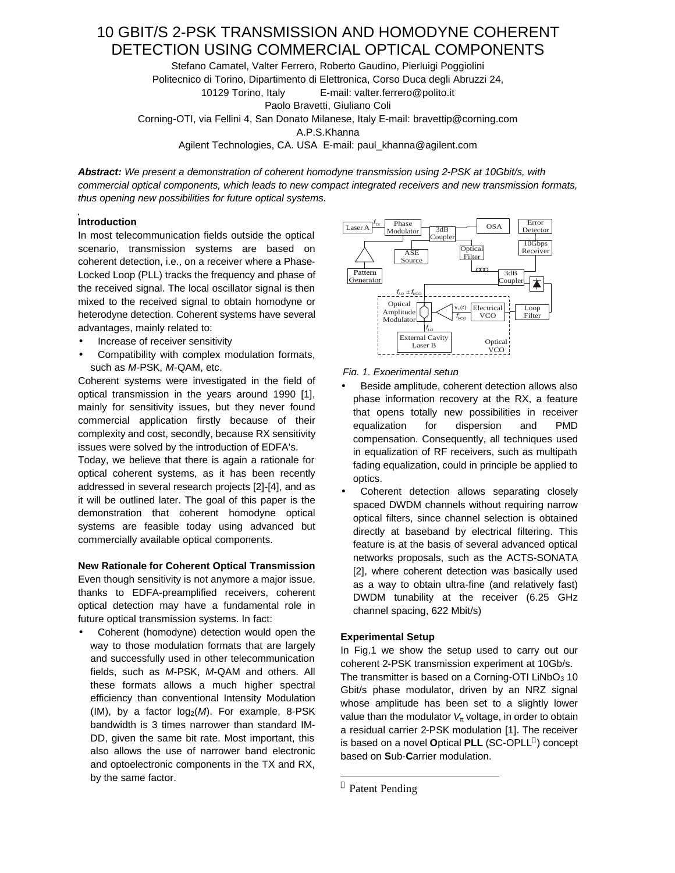# 10 GBIT/S 2-PSK TRANSMISSION AND HOMODYNE COHERENT DETECTION USING COMMERCIAL OPTICAL COMPONENTS

Stefano Camatel, Valter Ferrero, Roberto Gaudino, Pierluigi Poggiolini Politecnico di Torino, Dipartimento di Elettronica, Corso Duca degli Abruzzi 24, 10129 Torino, Italy E-mail: valter.ferrero@polito.it Paolo Bravetti, Giuliano Coli Corning-OTI, via Fellini 4, San Donato Milanese, Italy E-mail: bravettip@corning.com

A.P.S.Khanna

Agilent Technologies, CA. USA E-mail: paul\_khanna@agilent.com

*Abstract: We present a demonstration of coherent homodyne transmission using 2-PSK at 10Gbit/s, with commercial optical components, which leads to new compact integrated receivers and new transmission formats, thus opening new possibilities for future optical systems.*

## **Introduction**

In most telecommunication fields outside the optical scenario, transmission systems are based on coherent detection, i.e., on a receiver where a Phase-Locked Loop (PLL) tracks the frequency and phase of the received signal. The local oscillator signal is then mixed to the received signal to obtain homodyne or heterodyne detection. Coherent systems have several advantages, mainly related to:

- Increase of receiver sensitivity
- Compatibility with complex modulation formats, such as *M*-PSK, *M*-QAM, etc.

Coherent systems were investigated in the field of optical transmission in the years around 1990 [1], mainly for sensitivity issues, but they never found commercial application firstly because of their complexity and cost, secondly, because RX sensitivity issues were solved by the introduction of EDFA's.

Today, we believe that there is again a rationale for optical coherent systems, as it has been recently addressed in several research projects [2]-[4], and as it will be outlined later. The goal of this paper is the demonstration that coherent homodyne optical systems are feasible today using advanced but commercially available optical components.

# **New Rationale for Coherent Optical Transmission**

Even though sensitivity is not anymore a major issue, thanks to EDFA-preamplified receivers, coherent optical detection may have a fundamental role in future optical transmission systems. In fact:

• Coherent (homodyne) detection would open the way to those modulation formats that are largely and successfully used in other telecommunication fields, such as *M*-PSK, *M*-QAM and others. All these formats allows a much higher spectral efficiency than conventional Intensity Modulation (IM), by a factor  $log<sub>2</sub>(M)$ . For example, 8-PSK bandwidth is 3 times narrower than standard IM-DD, given the same bit rate. Most important, this also allows the use of narrower band electronic and optoelectronic components in the TX and RX, by the same factor.



## *Fig. 1. Experimental setup*

- Beside amplitude, coherent detection allows also phase information recovery at the RX, a feature that opens totally new possibilities in receiver equalization for dispersion and PMD compensation. Consequently, all techniques used in equalization of RF receivers, such as multipath fading equalization, could in principle be applied to optics.
- Coherent detection allows separating closely spaced DWDM channels without requiring narrow optical filters, since channel selection is obtained directly at baseband by electrical filtering. This feature is at the basis of several advanced optical networks proposals, such as the ACTS-SONATA [2], where coherent detection was basically used as a way to obtain ultra-fine (and relatively fast) DWDM tunability at the receiver (6.25 GHz channel spacing, 622 Mbit/s)

#### **Experimental Setup**

In Fig.1 we show the setup used to carry out our coherent 2-PSK transmission experiment at 10Gb/s. The transmitter is based on a Corning-OTI LiNbO $_3$  10 Gbit/s phase modulator, driven by an NRZ signal whose amplitude has been set to a slightly lower value than the modulator *Vp* voltage, in order to obtain a residual carrier 2-PSK modulation [1]. The receiver is based on a novel **O**ptical **PLL** (SC-OPLL ) concept based on **S**ub-**C**arrier modulation.

l

<sup>®</sup> Patent Pending